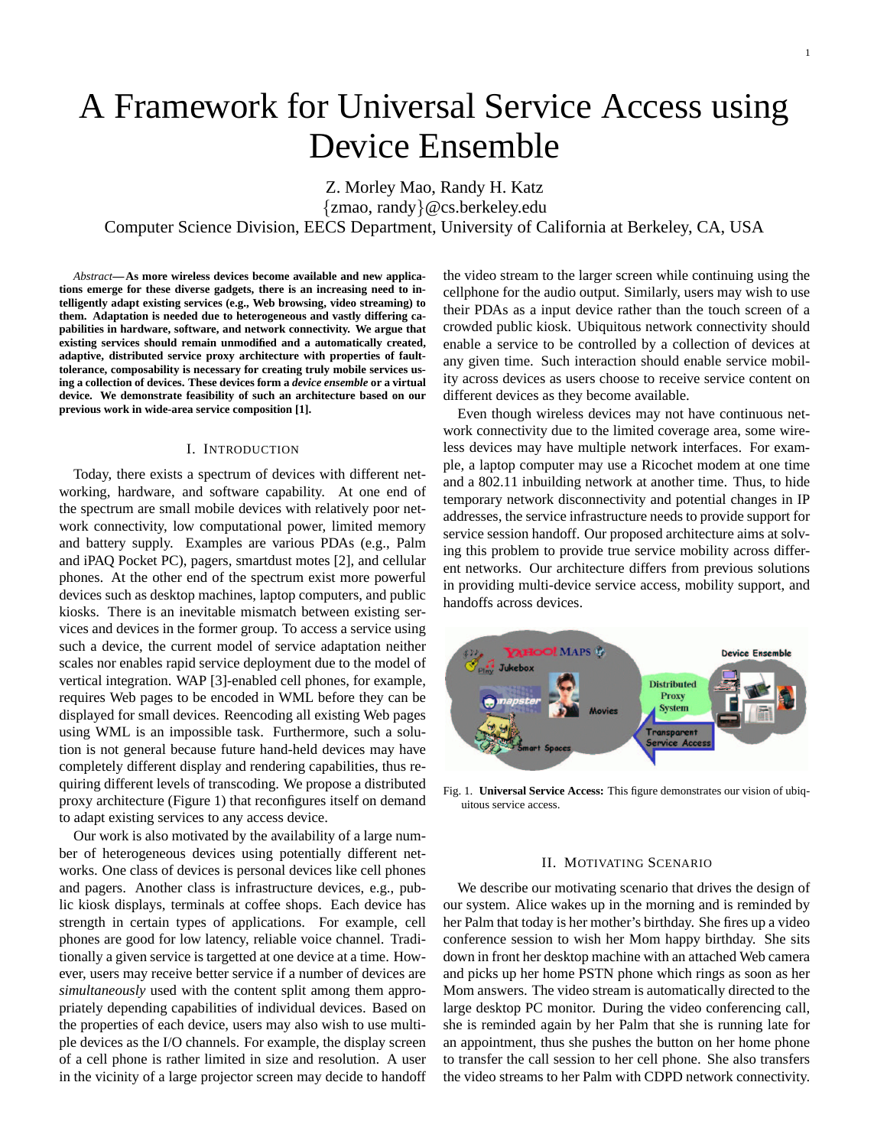# A Framework for Universal Service Access using Device Ensemble

Z. Morley Mao, Randy H. Katz

{zmao, randy}@cs.berkeley.edu Computer Science Division, EECS Department, University of California at Berkeley, CA, USA

*Abstract***—As more wireless devices become available and new applications emerge for these diverse gadgets, there is an increasing need to intelligently adapt existing services (e.g., Web browsing, video streaming) to them. Adaptation is needed due to heterogeneous and vastly differing capabilities in hardware, software, and network connectivity. We argue that existing services should remain unmodified and a automatically created, adaptive, distributed service proxy architecture with properties of faulttolerance, composability is necessary for creating truly mobile services using a collection of devices. These devices form a** *device ensemble* **or a virtual device. We demonstrate feasibility of such an architecture based on our previous work in wide-area service composition [1].**

## I. INTRODUCTION

Today, there exists a spectrum of devices with different networking, hardware, and software capability. At one end of the spectrum are small mobile devices with relatively poor network connectivity, low computational power, limited memory and battery supply. Examples are various PDAs (e.g., Palm and iPAQ Pocket PC), pagers, smartdust motes [2], and cellular phones. At the other end of the spectrum exist more powerful devices such as desktop machines, laptop computers, and public kiosks. There is an inevitable mismatch between existing services and devices in the former group. To access a service using such a device, the current model of service adaptation neither scales nor enables rapid service deployment due to the model of vertical integration. WAP [3]-enabled cell phones, for example, requires Web pages to be encoded in WML before they can be displayed for small devices. Reencoding all existing Web pages using WML is an impossible task. Furthermore, such a solution is not general because future hand-held devices may have completely different display and rendering capabilities, thus requiring different levels of transcoding. We propose a distributed proxy architecture (Figure 1) that reconfigures itself on demand to adapt existing services to any access device.

Our work is also motivated by the availability of a large number of heterogeneous devices using potentially different networks. One class of devices is personal devices like cell phones and pagers. Another class is infrastructure devices, e.g., public kiosk displays, terminals at coffee shops. Each device has strength in certain types of applications. For example, cell phones are good for low latency, reliable voice channel. Traditionally a given service is targetted at one device at a time. However, users may receive better service if a number of devices are *simultaneously* used with the content split among them appropriately depending capabilities of individual devices. Based on the properties of each device, users may also wish to use multiple devices as the I/O channels. For example, the display screen of a cell phone is rather limited in size and resolution. A user in the vicinity of a large projector screen may decide to handoff the video stream to the larger screen while continuing using the cellphone for the audio output. Similarly, users may wish to use their PDAs as a input device rather than the touch screen of a crowded public kiosk. Ubiquitous network connectivity should enable a service to be controlled by a collection of devices at any given time. Such interaction should enable service mobility across devices as users choose to receive service content on different devices as they become available.

1

Even though wireless devices may not have continuous network connectivity due to the limited coverage area, some wireless devices may have multiple network interfaces. For example, a laptop computer may use a Ricochet modem at one time and a 802.11 inbuilding network at another time. Thus, to hide temporary network disconnectivity and potential changes in IP addresses, the service infrastructure needs to provide support for service session handoff. Our proposed architecture aims at solving this problem to provide true service mobility across different networks. Our architecture differs from previous solutions in providing multi-device service access, mobility support, and handoffs across devices.



Fig. 1. **Universal Service Access:** This figure demonstrates our vision of ubiquitous service access.

#### II. MOTIVATING SCENARIO

We describe our motivating scenario that drives the design of our system. Alice wakes up in the morning and is reminded by her Palm that today is her mother's birthday. She fires up a video conference session to wish her Mom happy birthday. She sits down in front her desktop machine with an attached Web camera and picks up her home PSTN phone which rings as soon as her Mom answers. The video stream is automatically directed to the large desktop PC monitor. During the video conferencing call, she is reminded again by her Palm that she is running late for an appointment, thus she pushes the button on her home phone to transfer the call session to her cell phone. She also transfers the video streams to her Palm with CDPD network connectivity.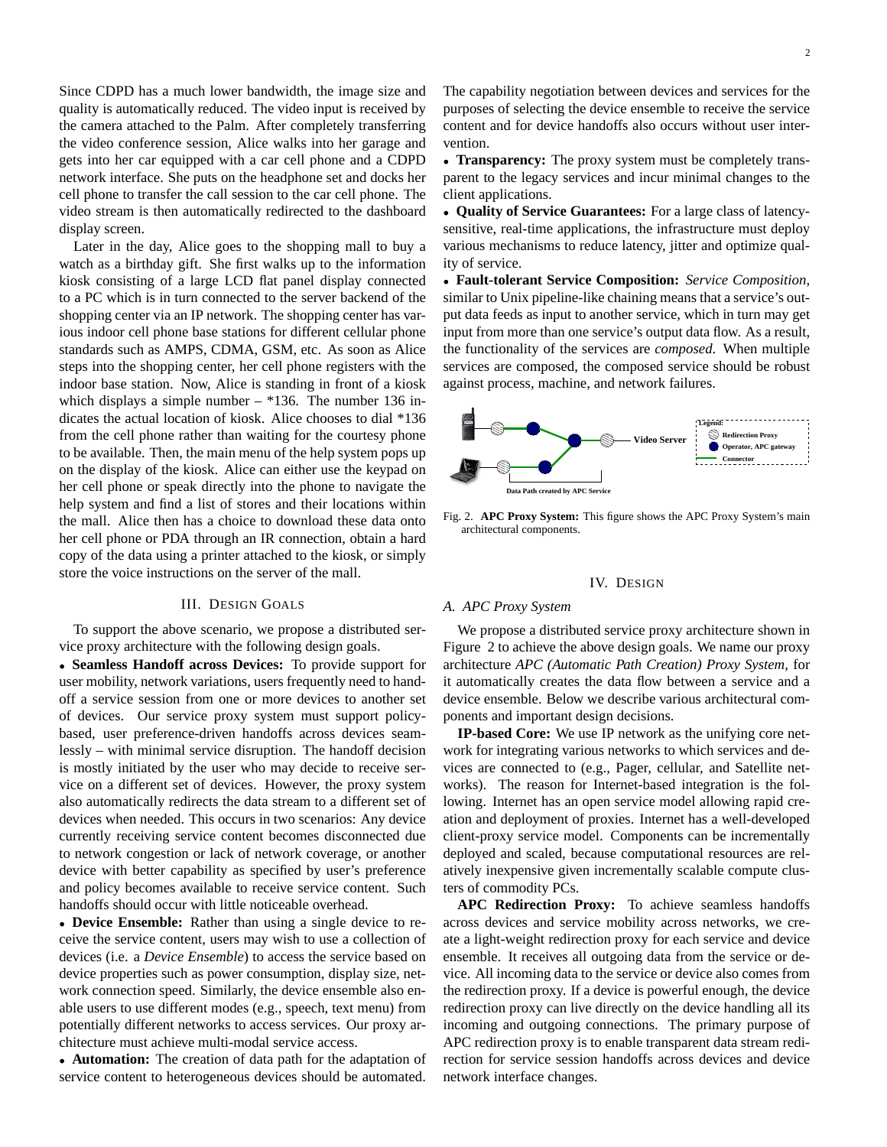Since CDPD has a much lower bandwidth, the image size and quality is automatically reduced. The video input is received by the camera attached to the Palm. After completely transferring the video conference session, Alice walks into her garage and gets into her car equipped with a car cell phone and a CDPD network interface. She puts on the headphone set and docks her cell phone to transfer the call session to the car cell phone. The video stream is then automatically redirected to the dashboard display screen.

Later in the day, Alice goes to the shopping mall to buy a watch as a birthday gift. She first walks up to the information kiosk consisting of a large LCD flat panel display connected to a PC which is in turn connected to the server backend of the shopping center via an IP network. The shopping center has various indoor cell phone base stations for different cellular phone standards such as AMPS, CDMA, GSM, etc. As soon as Alice steps into the shopping center, her cell phone registers with the indoor base station. Now, Alice is standing in front of a kiosk which displays a simple number  $-$  \*136. The number 136 indicates the actual location of kiosk. Alice chooses to dial \*136 from the cell phone rather than waiting for the courtesy phone to be available. Then, the main menu of the help system pops up on the display of the kiosk. Alice can either use the keypad on her cell phone or speak directly into the phone to navigate the help system and find a list of stores and their locations within the mall. Alice then has a choice to download these data onto her cell phone or PDA through an IR connection, obtain a hard copy of the data using a printer attached to the kiosk, or simply store the voice instructions on the server of the mall.

# III. DESIGN GOALS

To support the above scenario, we propose a distributed service proxy architecture with the following design goals.

• **Seamless Handoff across Devices:** To provide support for user mobility, network variations, users frequently need to handoff a service session from one or more devices to another set of devices. Our service proxy system must support policybased, user preference-driven handoffs across devices seamlessly – with minimal service disruption. The handoff decision is mostly initiated by the user who may decide to receive service on a different set of devices. However, the proxy system also automatically redirects the data stream to a different set of devices when needed. This occurs in two scenarios: Any device currently receiving service content becomes disconnected due to network congestion or lack of network coverage, or another device with better capability as specified by user's preference and policy becomes available to receive service content. Such handoffs should occur with little noticeable overhead.

• **Device Ensemble:** Rather than using a single device to receive the service content, users may wish to use a collection of devices (i.e. a *Device Ensemble*) to access the service based on device properties such as power consumption, display size, network connection speed. Similarly, the device ensemble also enable users to use different modes (e.g., speech, text menu) from potentially different networks to access services. Our proxy architecture must achieve multi-modal service access.

• **Automation:** The creation of data path for the adaptation of service content to heterogeneous devices should be automated.

The capability negotiation between devices and services for the purposes of selecting the device ensemble to receive the service content and for device handoffs also occurs without user intervention.

• **Transparency:** The proxy system must be completely transparent to the legacy services and incur minimal changes to the client applications.

• **Quality of Service Guarantees:** For a large class of latencysensitive, real-time applications, the infrastructure must deploy various mechanisms to reduce latency, jitter and optimize quality of service.

• **Fault-tolerant Service Composition:** *Service Composition*, similar to Unix pipeline-like chaining means that a service's output data feeds as input to another service, which in turn may get input from more than one service's output data flow. As a result, the functionality of the services are *composed*. When multiple services are composed, the composed service should be robust against process, machine, and network failures.



Fig. 2. **APC Proxy System:** This figure shows the APC Proxy System's main architectural components.

## IV. DESIGN

## *A. APC Proxy System*

We propose a distributed service proxy architecture shown in Figure 2 to achieve the above design goals. We name our proxy architecture *APC (Automatic Path Creation) Proxy System*, for it automatically creates the data flow between a service and a device ensemble. Below we describe various architectural components and important design decisions.

**IP-based Core:** We use IP network as the unifying core network for integrating various networks to which services and devices are connected to (e.g., Pager, cellular, and Satellite networks). The reason for Internet-based integration is the following. Internet has an open service model allowing rapid creation and deployment of proxies. Internet has a well-developed client-proxy service model. Components can be incrementally deployed and scaled, because computational resources are relatively inexpensive given incrementally scalable compute clusters of commodity PCs.

**APC Redirection Proxy:** To achieve seamless handoffs across devices and service mobility across networks, we create a light-weight redirection proxy for each service and device ensemble. It receives all outgoing data from the service or device. All incoming data to the service or device also comes from the redirection proxy. If a device is powerful enough, the device redirection proxy can live directly on the device handling all its incoming and outgoing connections. The primary purpose of APC redirection proxy is to enable transparent data stream redirection for service session handoffs across devices and device network interface changes.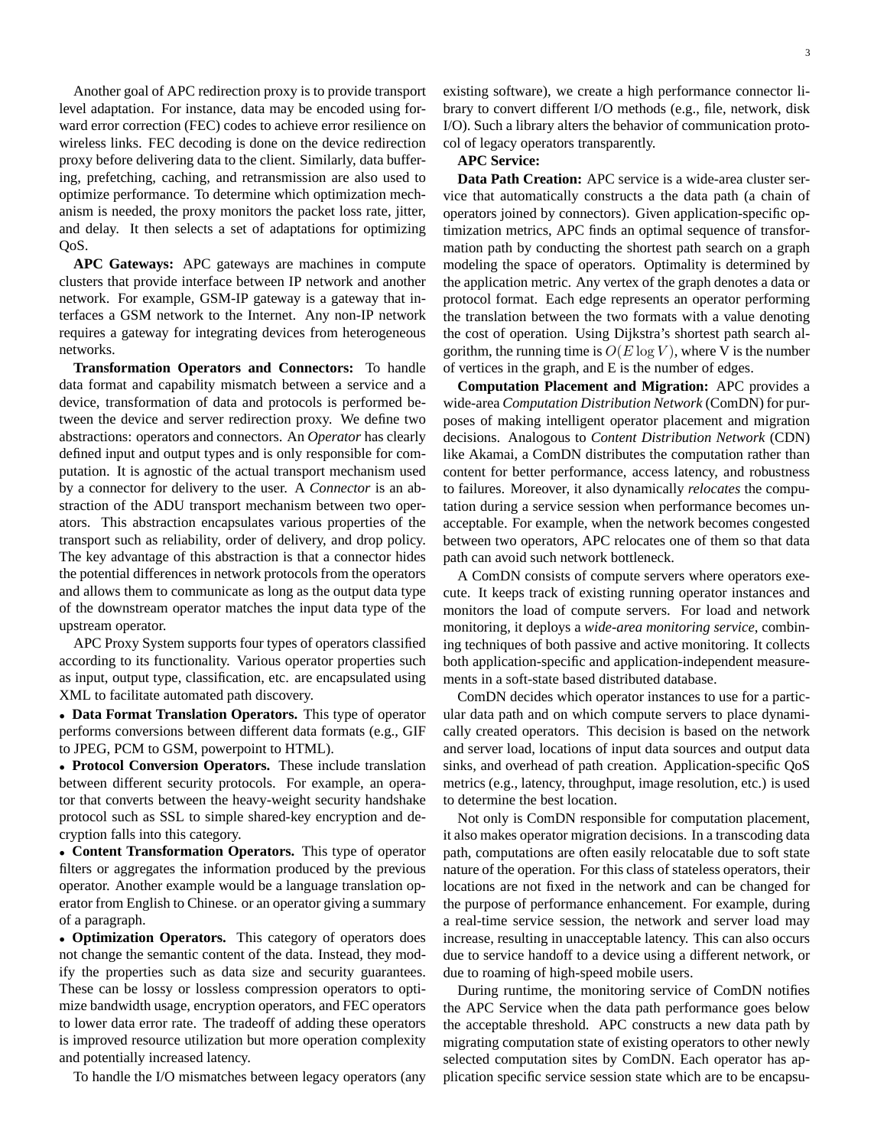Another goal of APC redirection proxy is to provide transport level adaptation. For instance, data may be encoded using forward error correction (FEC) codes to achieve error resilience on wireless links. FEC decoding is done on the device redirection proxy before delivering data to the client. Similarly, data buffering, prefetching, caching, and retransmission are also used to optimize performance. To determine which optimization mechanism is needed, the proxy monitors the packet loss rate, jitter, and delay. It then selects a set of adaptations for optimizing QoS.

**APC Gateways:** APC gateways are machines in compute clusters that provide interface between IP network and another network. For example, GSM-IP gateway is a gateway that interfaces a GSM network to the Internet. Any non-IP network requires a gateway for integrating devices from heterogeneous networks.

**Transformation Operators and Connectors:** To handle data format and capability mismatch between a service and a device, transformation of data and protocols is performed between the device and server redirection proxy. We define two abstractions: operators and connectors. An *Operator* has clearly defined input and output types and is only responsible for computation. It is agnostic of the actual transport mechanism used by a connector for delivery to the user. A *Connector* is an abstraction of the ADU transport mechanism between two operators. This abstraction encapsulates various properties of the transport such as reliability, order of delivery, and drop policy. The key advantage of this abstraction is that a connector hides the potential differences in network protocols from the operators and allows them to communicate as long as the output data type of the downstream operator matches the input data type of the upstream operator.

APC Proxy System supports four types of operators classified according to its functionality. Various operator properties such as input, output type, classification, etc. are encapsulated using XML to facilitate automated path discovery.

• **Data Format Translation Operators.** This type of operator performs conversions between different data formats (e.g., GIF to JPEG, PCM to GSM, powerpoint to HTML).

• **Protocol Conversion Operators.** These include translation between different security protocols. For example, an operator that converts between the heavy-weight security handshake protocol such as SSL to simple shared-key encryption and decryption falls into this category.

• **Content Transformation Operators.** This type of operator filters or aggregates the information produced by the previous operator. Another example would be a language translation operator from English to Chinese. or an operator giving a summary of a paragraph.

• **Optimization Operators.** This category of operators does not change the semantic content of the data. Instead, they modify the properties such as data size and security guarantees. These can be lossy or lossless compression operators to optimize bandwidth usage, encryption operators, and FEC operators to lower data error rate. The tradeoff of adding these operators is improved resource utilization but more operation complexity and potentially increased latency.

To handle the I/O mismatches between legacy operators (any

existing software), we create a high performance connector library to convert different I/O methods (e.g., file, network, disk I/O). Such a library alters the behavior of communication protocol of legacy operators transparently.

## **APC Service:**

**Data Path Creation:** APC service is a wide-area cluster service that automatically constructs a the data path (a chain of operators joined by connectors). Given application-specific optimization metrics, APC finds an optimal sequence of transformation path by conducting the shortest path search on a graph modeling the space of operators. Optimality is determined by the application metric. Any vertex of the graph denotes a data or protocol format. Each edge represents an operator performing the translation between the two formats with a value denoting the cost of operation. Using Dijkstra's shortest path search algorithm, the running time is  $O(E \log V)$ , where V is the number of vertices in the graph, and E is the number of edges.

**Computation Placement and Migration:** APC provides a wide-area *Computation Distribution Network* (ComDN) for purposes of making intelligent operator placement and migration decisions. Analogous to *Content Distribution Network* (CDN) like Akamai, a ComDN distributes the computation rather than content for better performance, access latency, and robustness to failures. Moreover, it also dynamically *relocates* the computation during a service session when performance becomes unacceptable. For example, when the network becomes congested between two operators, APC relocates one of them so that data path can avoid such network bottleneck.

A ComDN consists of compute servers where operators execute. It keeps track of existing running operator instances and monitors the load of compute servers. For load and network monitoring, it deploys a *wide-area monitoring service*, combining techniques of both passive and active monitoring. It collects both application-specific and application-independent measurements in a soft-state based distributed database.

ComDN decides which operator instances to use for a particular data path and on which compute servers to place dynamically created operators. This decision is based on the network and server load, locations of input data sources and output data sinks, and overhead of path creation. Application-specific QoS metrics (e.g., latency, throughput, image resolution, etc.) is used to determine the best location.

Not only is ComDN responsible for computation placement, it also makes operator migration decisions. In a transcoding data path, computations are often easily relocatable due to soft state nature of the operation. For this class of stateless operators, their locations are not fixed in the network and can be changed for the purpose of performance enhancement. For example, during a real-time service session, the network and server load may increase, resulting in unacceptable latency. This can also occurs due to service handoff to a device using a different network, or due to roaming of high-speed mobile users.

During runtime, the monitoring service of ComDN notifies the APC Service when the data path performance goes below the acceptable threshold. APC constructs a new data path by migrating computation state of existing operators to other newly selected computation sites by ComDN. Each operator has application specific service session state which are to be encapsu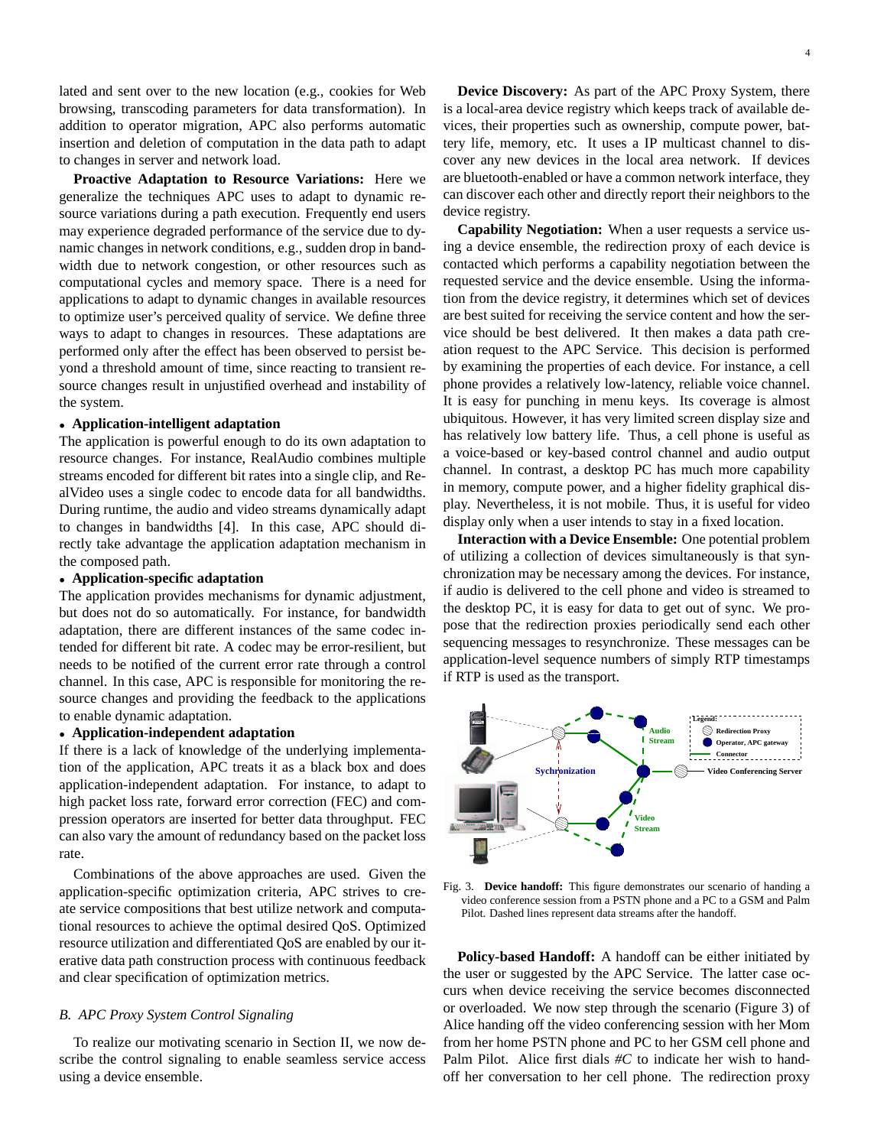lated and sent over to the new location (e.g., cookies for Web browsing, transcoding parameters for data transformation). In addition to operator migration, APC also performs automatic insertion and deletion of computation in the data path to adapt to changes in server and network load.

**Proactive Adaptation to Resource Variations:** Here we generalize the techniques APC uses to adapt to dynamic resource variations during a path execution. Frequently end users may experience degraded performance of the service due to dynamic changes in network conditions, e.g., sudden drop in bandwidth due to network congestion, or other resources such as computational cycles and memory space. There is a need for applications to adapt to dynamic changes in available resources to optimize user's perceived quality of service. We define three ways to adapt to changes in resources. These adaptations are performed only after the effect has been observed to persist beyond a threshold amount of time, since reacting to transient resource changes result in unjustified overhead and instability of the system.

## • **Application-intelligent adaptation**

The application is powerful enough to do its own adaptation to resource changes. For instance, RealAudio combines multiple streams encoded for different bit rates into a single clip, and RealVideo uses a single codec to encode data for all bandwidths. During runtime, the audio and video streams dynamically adapt to changes in bandwidths [4]. In this case, APC should directly take advantage the application adaptation mechanism in the composed path.

# • **Application-specific adaptation**

The application provides mechanisms for dynamic adjustment, but does not do so automatically. For instance, for bandwidth adaptation, there are different instances of the same codec intended for different bit rate. A codec may be error-resilient, but needs to be notified of the current error rate through a control channel. In this case, APC is responsible for monitoring the resource changes and providing the feedback to the applications to enable dynamic adaptation.

# • **Application-independent adaptation**

If there is a lack of knowledge of the underlying implementation of the application, APC treats it as a black box and does application-independent adaptation. For instance, to adapt to high packet loss rate, forward error correction (FEC) and compression operators are inserted for better data throughput. FEC can also vary the amount of redundancy based on the packet loss rate.

Combinations of the above approaches are used. Given the application-specific optimization criteria, APC strives to create service compositions that best utilize network and computational resources to achieve the optimal desired QoS. Optimized resource utilization and differentiated QoS are enabled by our iterative data path construction process with continuous feedback and clear specification of optimization metrics.

## *B. APC Proxy System Control Signaling*

To realize our motivating scenario in Section II, we now describe the control signaling to enable seamless service access using a device ensemble.

**Device Discovery:** As part of the APC Proxy System, there is a local-area device registry which keeps track of available devices, their properties such as ownership, compute power, battery life, memory, etc. It uses a IP multicast channel to discover any new devices in the local area network. If devices are bluetooth-enabled or have a common network interface, they can discover each other and directly report their neighbors to the device registry.

**Capability Negotiation:** When a user requests a service using a device ensemble, the redirection proxy of each device is contacted which performs a capability negotiation between the requested service and the device ensemble. Using the information from the device registry, it determines which set of devices are best suited for receiving the service content and how the service should be best delivered. It then makes a data path creation request to the APC Service. This decision is performed by examining the properties of each device. For instance, a cell phone provides a relatively low-latency, reliable voice channel. It is easy for punching in menu keys. Its coverage is almost ubiquitous. However, it has very limited screen display size and has relatively low battery life. Thus, a cell phone is useful as a voice-based or key-based control channel and audio output channel. In contrast, a desktop PC has much more capability in memory, compute power, and a higher fidelity graphical display. Nevertheless, it is not mobile. Thus, it is useful for video display only when a user intends to stay in a fixed location.

**Interaction with a Device Ensemble:** One potential problem of utilizing a collection of devices simultaneously is that synchronization may be necessary among the devices. For instance, if audio is delivered to the cell phone and video is streamed to the desktop PC, it is easy for data to get out of sync. We propose that the redirection proxies periodically send each other sequencing messages to resynchronize. These messages can be application-level sequence numbers of simply RTP timestamps if RTP is used as the transport.



Fig. 3. **Device handoff:** This figure demonstrates our scenario of handing a video conference session from a PSTN phone and a PC to a GSM and Palm Pilot. Dashed lines represent data streams after the handoff.

**Policy-based Handoff:** A handoff can be either initiated by the user or suggested by the APC Service. The latter case occurs when device receiving the service becomes disconnected or overloaded. We now step through the scenario (Figure 3) of Alice handing off the video conferencing session with her Mom from her home PSTN phone and PC to her GSM cell phone and Palm Pilot. Alice first dials *#C* to indicate her wish to handoff her conversation to her cell phone. The redirection proxy